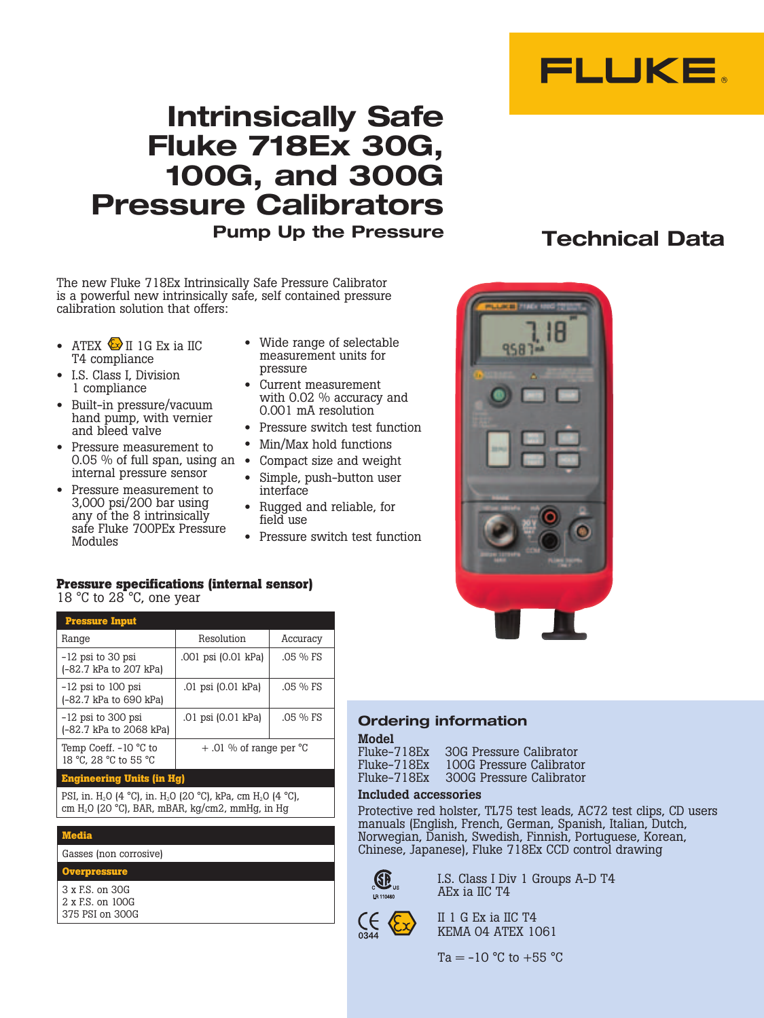

# **Intrinsically Safe Fluke 718Ex 30G, 100G, and 300G Pressure Calibrators Pump Up the Pressure Technical Data**

The new Fluke 718Ex Intrinsically Safe Pressure Calibrator is a powerful new intrinsically safe, self contained pressure calibration solution that offers:

- ATEX  $\bigotimes$  II 1G Ex ia IIC T4 compliance
- I.S. Class I, Division 1 compliance
- Built-in pressure/vacuum hand pump, with vernier and bleed valve
- Pressure measurement to 0.05 % of full span, using an  $\bullet$ internal pressure sensor
- Pressure measurement to 3,000 psi/200 bar using any of the 8 intrinsically safe Fluke 700PEx Pressure Modules
- Wide range of selectable measurement units for pressure
- Current measurement with 0.02 % accuracy and 0.001 mA resolution
- Pressure switch test function
- Min/Max hold functions
- Compact size and weight
- Simple, push-button user interface
- Rugged and reliable, for field use
- Pressure switch test function



## **Pressure specifications (internal sensor)** 18 °C to 28 °C, one year

| <b>Pressure Input</b>                            |                                    |             |
|--------------------------------------------------|------------------------------------|-------------|
| Range                                            | Resolution                         | Accuracy    |
| $-12$ psi to 30 psi<br>(-82.7 kPa to 207 kPa)    | .001 psi (0.01 kPa)                | $.05 \% FS$ |
| $-12$ psi to 100 psi<br>(-82.7 kPa to 690 kPa)   | .01 psi (0.01 kPa)                 | $.05\%$ FS  |
| $-12$ psi to 300 psi<br>(-82.7 kPa to 2068 kPa)  | .01 psi (0.01 kPa)                 | $.05 \% FS$ |
| Temp Coeff. $-10$ °C to<br>18 °C, 28 °C to 55 °C | $+$ .01 % of range per $\degree$ C |             |

## **Engineering Units (in Hg)**

PSI, in. H<sub>2</sub>O (4 °C), in. H<sub>2</sub>O (20 °C), kPa, cm H<sub>2</sub>O (4 °C), cm H2O (20 °C), BAR, mBAR, kg/cm2, mmHg, in Hg

## **Media**

Gasses (non corrosive)

## **Overpressure**

3 x F.S. on 30G 2 x F.S. on 100G 375 PSI on 300G

## **Ordering information**

**Model**<br>Fluke-718Ex Fluke-718Ex 30G Pressure Calibrator 100G Pressure Calibrator Fluke-718Ex 300G Pressure Calibrator

## Included accessories

Protective red holster, TL75 test leads, AC72 test clips, CD users manuals (English, French, German, Spanish, Italian, Dutch, Norwegian, Danish, Swedish, Finnish, Portuguese, Korean, Chinese, Japanese), Fluke 718Ex CCD control drawing



 I.S. Class I Div 1 Groups A-D T4 AEx ia IIC T4

> II 1 G Ex ia IIC T4 KEMA 04 ATEX 1061

 $Ta = -10 °C$  to  $+55 °C$